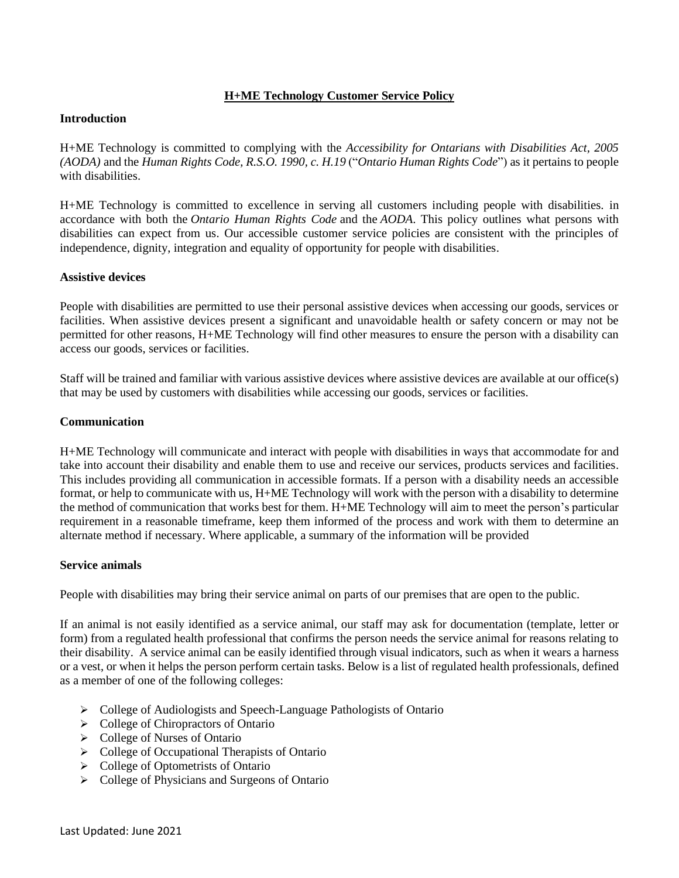# **H+ME Technology Customer Service Policy**

### **Introduction**

H+ME Technology is committed to complying with the *Accessibility for Ontarians with Disabilities Act, 2005 (AODA)* and the *Human Rights Code, R.S.O. 1990, c. H.19* ("*Ontario Human Rights Code*") as it pertains to people with disabilities.

H+ME Technology is committed to excellence in serving all customers including people with disabilities. in accordance with both the *Ontario Human Rights Code* and the *AODA*. This policy outlines what persons with disabilities can expect from us. Our accessible customer service policies are consistent with the principles of independence, dignity, integration and equality of opportunity for people with disabilities.

## **Assistive devices**

People with disabilities are permitted to use their personal assistive devices when accessing our goods, services or facilities. When assistive devices present a significant and unavoidable health or safety concern or may not be permitted for other reasons, H+ME Technology will find other measures to ensure the person with a disability can access our goods, services or facilities.

Staff will be trained and familiar with various assistive devices where assistive devices are available at our office(s) that may be used by customers with disabilities while accessing our goods, services or facilities.

### **Communication**

H+ME Technology will communicate and interact with people with disabilities in ways that accommodate for and take into account their disability and enable them to use and receive our services, products services and facilities. This includes providing all communication in accessible formats. If a person with a disability needs an accessible format, or help to communicate with us, H+ME Technology will work with the person with a disability to determine the method of communication that works best for them. H+ME Technology will aim to meet the person's particular requirement in a reasonable timeframe, keep them informed of the process and work with them to determine an alternate method if necessary. Where applicable, a summary of the information will be provided

#### **Service animals**

People with disabilities may bring their service animal on parts of our premises that are open to the public.

If an animal is not easily identified as a service animal, our staff may ask for documentation (template, letter or form) from a regulated health professional that confirms the person needs the service animal for reasons relating to their disability. A service animal can be easily identified through visual indicators, such as when it wears a harness or a vest, or when it helps the person perform certain tasks. Below is a list of regulated health professionals, defined as a member of one of the following colleges:

- ➢ College of Audiologists and Speech-Language Pathologists of Ontario
- ➢ College of Chiropractors of Ontario
- ➢ College of Nurses of Ontario
- ➢ College of Occupational Therapists of Ontario
- ➢ College of Optometrists of Ontario
- ➢ College of Physicians and Surgeons of Ontario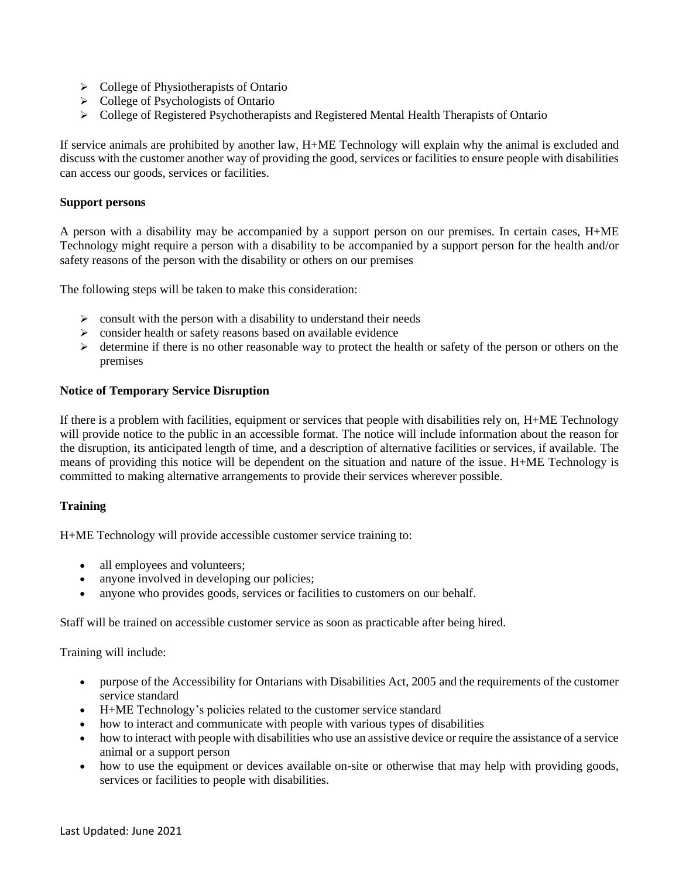- ➢ College of Physiotherapists of Ontario
- ➢ College of Psychologists of Ontario
- ➢ College of Registered Psychotherapists and Registered Mental Health Therapists of Ontario

If service animals are prohibited by another law, H+ME Technology will explain why the animal is excluded and discuss with the customer another way of providing the good, services or facilities to ensure people with disabilities can access our goods, services or facilities.

## **Support persons**

A person with a disability may be accompanied by a support person on our premises. In certain cases, H+ME Technology might require a person with a disability to be accompanied by a support person for the health and/or safety reasons of the person with the disability or others on our premises

The following steps will be taken to make this consideration:

- $\triangleright$  consult with the person with a disability to understand their needs
- $\geq$  consider health or safety reasons based on available evidence
- ➢ determine if there is no other reasonable way to protect the health or safety of the person or others on the premises

### **Notice of Temporary Service Disruption**

If there is a problem with facilities, equipment or services that people with disabilities rely on, H+ME Technology will provide notice to the public in an accessible format. The notice will include information about the reason for the disruption, its anticipated length of time, and a description of alternative facilities or services, if available. The means of providing this notice will be dependent on the situation and nature of the issue. H+ME Technology is committed to making alternative arrangements to provide their services wherever possible.

## **Training**

H+ME Technology will provide accessible customer service training to:

- all employees and volunteers;
- anyone involved in developing our policies;
- anyone who provides goods, services or facilities to customers on our behalf.

Staff will be trained on accessible customer service as soon as practicable after being hired.

Training will include:

- purpose of the Accessibility for Ontarians with Disabilities Act, 2005 and the requirements of the customer service standard
- H+ME Technology's policies related to the customer service standard
- how to interact and communicate with people with various types of disabilities
- how to interact with people with disabilities who use an assistive device or require the assistance of a service animal or a support person
- how to use the equipment or devices available on-site or otherwise that may help with providing goods, services or facilities to people with disabilities.